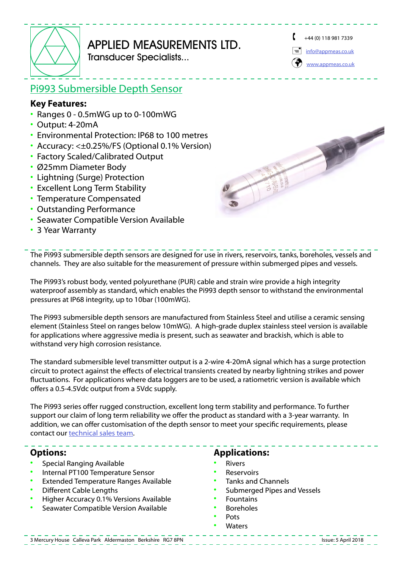

### APPLIED MEASUREMENTS LTD. Transducer Specialists...

 $+44(0)$  118 981 7339

[info@appmeas.co.uk](mailto:info%40appmeas.co.uk?subject=Pi993%20Submersible%20Depth%20Sensor)

[www.appmeas.co.uk](https://appmeas.co.uk/?utm_source=PDF%20Data%Sheets&utm_medium=referral&utm_campaign=PDF%20Data%Sheets)

NE MARK

# Pi993 Submersible Depth Sensor

#### **Key Features:**

- Ranges 0 0.5mWG up to 0-100mWG
- Output: 4-20mA
- Environmental Protection: IP68 to 100 metres
- Accuracy: <±0.25%/FS (Optional 0.1% Version)
- Factory Scaled/Calibrated Output
- Ø25mm Diameter Body
- Lightning (Surge) Protection
- Excellent Long Term Stability
- Temperature Compensated
- Outstanding Performance
- Seawater Compatible Version Available
- 3 Year Warranty

The Pi993 submersible depth sensors are designed for use in rivers, reservoirs, tanks, boreholes, vessels and channels. They are also suitable for the measurement of pressure within submerged pipes and vessels.

The Pi993's robust body, vented polyurethane (PUR) cable and strain wire provide a high integrity waterproof assembly as standard, which enables the Pi993 depth sensor to withstand the environmental pressures at IP68 integrity, up to 10bar (100mWG).

The Pi993 submersible depth sensors are manufactured from Stainless Steel and utilise a ceramic sensing element (Stainless Steel on ranges below 10mWG). A high-grade duplex stainless steel version is available for applications where aggressive media is present, such as seawater and brackish, which is able to withstand very high corrosion resistance.

The standard submersible level transmitter output is a 2-wire 4-20mA signal which has a surge protection circuit to protect against the effects of electrical transients created by nearby lightning strikes and power fluctuations. For applications where data loggers are to be used, a ratiometric version is available which offers a 0.5-4.5Vdc output from a 5Vdc supply.

The Pi993 series offer rugged construction, excellent long term stability and performance. To further support our claim of long term reliability we offer the product as standard with a 3-year warranty. In addition, we can offer customisation of the depth sensor to meet your specific requirements, please contact our [technical sales team](mailto:info%40appmeas.co.uk?subject=Pi993%20Submersible%20Depth%20Sensor).

- Special Ranging Available
- Internal PT100 Temperature Sensor
- Extended Temperature Ranges Available
- Different Cable Lengths
- Higher Accuracy 0.1% Versions Available
- Seawater Compatible Version Available

#### **Options: Applications:**

- **Rivers**
- **Reservoirs**
- Tanks and Channels
- Submerged Pipes and Vessels

**ANTISEE AND REAL** 

- **Fountains**
- **Boreholes**
- Pots
	- **Waters**

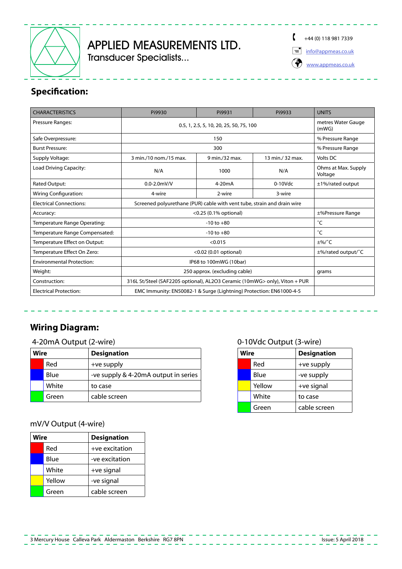

# APPLIED MEASUREMENTS LTD.

Transducer Specialists...

 $+44(0)$  118 981 7339

 $\equiv$  [info@appmeas.co.uk](mailto:info%40appmeas.co.uk?subject=Pi993%20Submersible%20Depth%20Sensor)

(<a> [www.appmeas.co.uk](https://appmeas.co.uk/?utm_source=PDF%20Data%Sheets&utm_medium=referral&utm_campaign=PDF%20Data%Sheets)

# **Specification:**

| <b>CHARACTERISTICS</b>           | Pi9930                                                                     | Pi9931                              | Pi9933     | <b>UNITS</b>                   |  |  |  |  |  |  |
|----------------------------------|----------------------------------------------------------------------------|-------------------------------------|------------|--------------------------------|--|--|--|--|--|--|
| Pressure Ranges:                 | 0.5, 1, 2.5, 5, 10, 20, 25, 50, 75, 100                                    | metres Water Gauge<br>(mWG)         |            |                                |  |  |  |  |  |  |
| Safe Overpressure:               |                                                                            | 150                                 |            |                                |  |  |  |  |  |  |
| <b>Burst Pressure:</b>           |                                                                            | % Pressure Range                    |            |                                |  |  |  |  |  |  |
| Supply Voltage:                  | 3 min./10 nom./15 max.                                                     | Volts DC                            |            |                                |  |  |  |  |  |  |
| Load Driving Capacity:           | N/A                                                                        | 1000                                | N/A        | Ohms at Max. Supply<br>Voltage |  |  |  |  |  |  |
| Rated Output:                    | $0.0 - 2.0$ mV/V                                                           | $4-20mA$                            | $0-10$ Vdc | $±1\%$ /rated output           |  |  |  |  |  |  |
| <b>Wiring Configuration:</b>     | 4-wire                                                                     | 2-wire                              | 3-wire     |                                |  |  |  |  |  |  |
| <b>Electrical Connections:</b>   | Screened polyurethane (PUR) cable with vent tube, strain and drain wire    |                                     |            |                                |  |  |  |  |  |  |
| Accuracy:                        | $<$ 0.25 (0.1% optional)                                                   | ±%Pressure Range                    |            |                                |  |  |  |  |  |  |
| Temperature Range Operating:     |                                                                            | °C                                  |            |                                |  |  |  |  |  |  |
| Temperature Range Compensated:   |                                                                            | °C                                  |            |                                |  |  |  |  |  |  |
| Temperature Effect on Output:    |                                                                            | $\pm\%$ /°C                         |            |                                |  |  |  |  |  |  |
| Temperature Effect On Zero:      | $<$ 0.02 (0.01 optional)                                                   | $\pm\%$ /rated output/ $^{\circ}$ C |            |                                |  |  |  |  |  |  |
| <b>Environmental Protection:</b> | IP68 to 100mWG (10bar)                                                     |                                     |            |                                |  |  |  |  |  |  |
| Weight:                          | 250 approx. (excluding cable)                                              | grams                               |            |                                |  |  |  |  |  |  |
| Construction:                    | 316L St/Steel (SAF2205 optional), AL2O3 Ceramic (10mWG> only), Viton + PUR |                                     |            |                                |  |  |  |  |  |  |
| <b>Electrical Protection:</b>    | EMC Immunity: EN50082-1 & Surge (Lightning) Protection: EN61000-4-5        |                                     |            |                                |  |  |  |  |  |  |

## **Wiring Diagram:**

#### 4-20mA Output (2-wire) 0-10Vdc Output (3-wire)

| Wire |       | <b>Designation</b>                   |  |  |  |  |  |  |
|------|-------|--------------------------------------|--|--|--|--|--|--|
|      | Red   | +ve supply                           |  |  |  |  |  |  |
|      | Blue  | -ve supply & 4-20mA output in series |  |  |  |  |  |  |
|      | White | to case                              |  |  |  |  |  |  |
|      | Green | cable screen                         |  |  |  |  |  |  |

#### mV/V Output (4-wire)

| Wire |        | <b>Designation</b> |  |  |  |  |  |  |  |
|------|--------|--------------------|--|--|--|--|--|--|--|
|      | Red    | +ve excitation     |  |  |  |  |  |  |  |
|      | Blue   | -ve excitation     |  |  |  |  |  |  |  |
|      | White  | +ve signal         |  |  |  |  |  |  |  |
|      | Yellow | -ve signal         |  |  |  |  |  |  |  |
|      | Green  | cable screen       |  |  |  |  |  |  |  |

| Wire |        | <b>Designation</b> |  |  |  |  |  |  |
|------|--------|--------------------|--|--|--|--|--|--|
|      | Red    | +ve supply         |  |  |  |  |  |  |
|      | Blue   | -ve supply         |  |  |  |  |  |  |
|      | Yellow | +ve signal         |  |  |  |  |  |  |
|      | White  | to case            |  |  |  |  |  |  |
|      | Green  | cable screen       |  |  |  |  |  |  |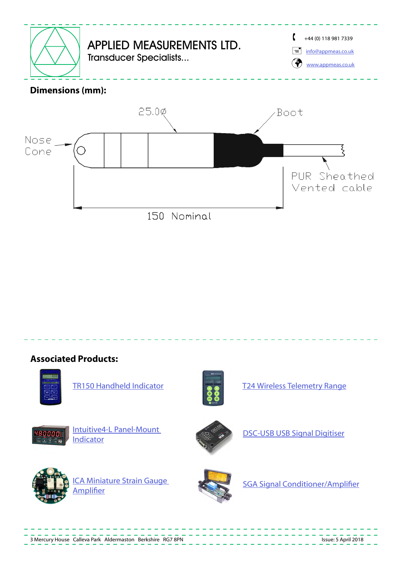

150 Nominal

### **Associated Products:**





[TR150 Handheld Indicator](https://appmeas.co.uk/products/instrumentation/tr150-digital-handheld-load-cell-indicator/?utm_source=PDF%20Data%Sheets&utm_medium=referral&utm_campaign=PDF%20Data%Sheets) [T24 Wireless Telemetry Range](https://appmeas.co.uk/products/instrumentation/t24-wireless-telemetry/?utm_source=PDF%20Data%Sheets&utm_medium=referral&utm_campaign=PDF%20Data%Sheets)



[Intuitive4-L Panel-Mount](https://appmeas.co.uk/products/instrumentation/load-cell-digital-indicator-int4-l/?utm_source=PDF%20Data%Sheets&utm_medium=referral&utm_campaign=PDF%20Data%Sheets)  Intuitive4-L Panel-Mount<br>[Indicator](https://appmeas.co.uk/products/instrumentation/load-cell-digital-indicator-int4-l/?utm_source=PDF%20Data%Sheets&utm_medium=referral&utm_campaign=PDF%20Data%Sheets) [DSC-USB USB Signal Digitiser](https://appmeas.co.uk/products/instrumentation/usb-load-cell-interface-strain-gauge-digitiser-dscusb/?utm_source=PDF%20Data%Sheets&utm_medium=referral&utm_campaign=PDF%20Data%Sheets)





<u>ICA Miniature Strain Gauge.</u><br>Amplifier



**SGA Signal Conditioner/[Amplifier](https://appmeas.co.uk/products/instrumentation/miniature-load-cell-amplifier-ica/?utm_source=PDF%20Data%Sheets&utm_medium=referral&utm_campaign=PDF%20Data%Sheets)**